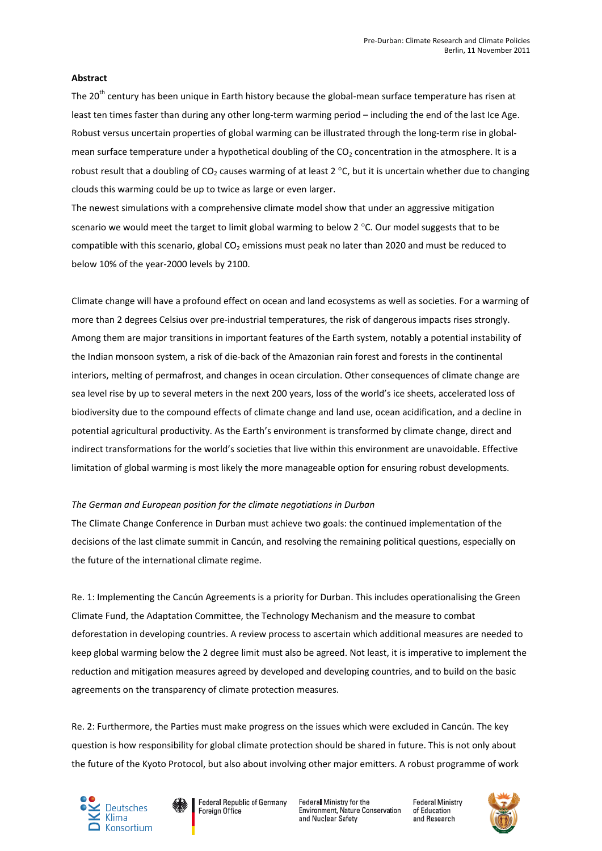# **Abstract**

The 20<sup>th</sup> century has been unique in Earth history because the global-mean surface temperature has risen at least ten times faster than during any other long-term warming period – including the end of the last Ice Age. Robust versus uncertain properties of global warming can be illustrated through the long-term rise in globalmean surface temperature under a hypothetical doubling of the  $CO<sub>2</sub>$  concentration in the atmosphere. It is a robust result that a doubling of CO<sub>2</sub> causes warming of at least 2 °C, but it is uncertain whether due to changing clouds this warming could be up to twice as large or even larger.

The newest simulations with a comprehensive climate model show that under an aggressive mitigation scenario we would meet the target to limit global warming to below 2 °C. Our model suggests that to be compatible with this scenario, global  $CO<sub>2</sub>$  emissions must peak no later than 2020 and must be reduced to below 10% of the year-2000 levels by 2100.

Climate change will have a profound effect on ocean and land ecosystems as well as societies. For a warming of more than 2 degrees Celsius over pre-industrial temperatures, the risk of dangerous impacts rises strongly. Among them are major transitions in important features of the Earth system, notably a potential instability of the Indian monsoon system, a risk of die-back of the Amazonian rain forest and forests in the continental interiors, melting of permafrost, and changes in ocean circulation. Other consequences of climate change are sea level rise by up to several meters in the next 200 years, loss of the world's ice sheets, accelerated loss of biodiversity due to the compound effects of climate change and land use, ocean acidification, and a decline in potential agricultural productivity. As the Earth's environment is transformed by climate change, direct and indirect transformations for the world's societies that live within this environment are unavoidable. Effective limitation of global warming is most likely the more manageable option for ensuring robust developments.

# *The German and European position for the climate negotiations in Durban*

The Climate Change Conference in Durban must achieve two goals: the continued implementation of the decisions of the last climate summit in Cancún, and resolving the remaining political questions, especially on the future of the international climate regime.

Re. 1: Implementing the Cancún Agreements is a priority for Durban. This includes operationalising the Green Climate Fund, the Adaptation Committee, the Technology Mechanism and the measure to combat deforestation in developing countries. A review process to ascertain which additional measures are needed to keep global warming below the 2 degree limit must also be agreed. Not least, it is imperative to implement the reduction and mitigation measures agreed by developed and developing countries, and to build on the basic agreements on the transparency of climate protection measures.

Re. 2: Furthermore, the Parties must make progress on the issues which were excluded in Cancún. The key question is how responsibility for global climate protection should be shared in future. This is not only about the future of the Kyoto Protocol, but also about involving other major emitters. A robust programme of work





Federal Ministry for the Environment, Nature Conservation and Nuclear Safety

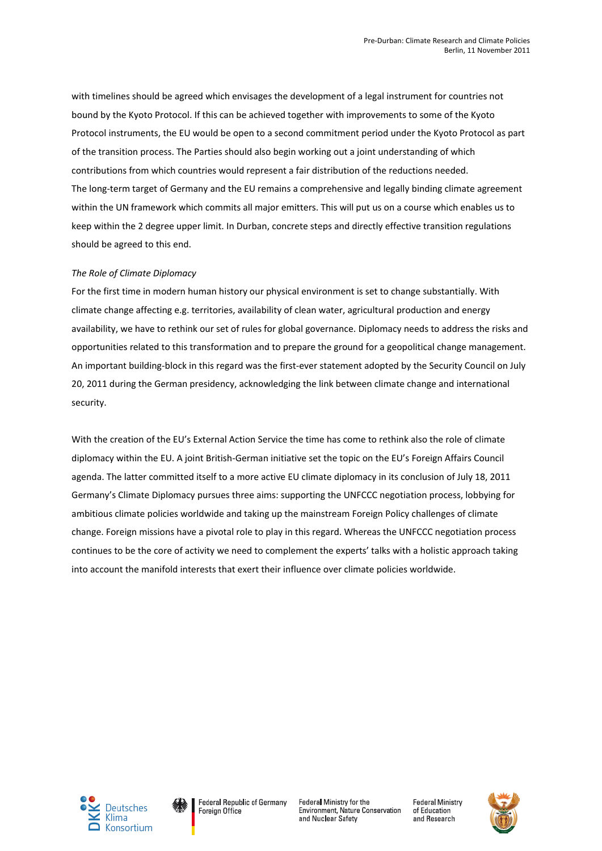with timelines should be agreed which envisages the development of a legal instrument for countries not bound by the Kyoto Protocol. If this can be achieved together with improvements to some of the Kyoto Protocol instruments, the EU would be open to a second commitment period under the Kyoto Protocol as part of the transition process. The Parties should also begin working out a joint understanding of which contributions from which countries would represent a fair distribution of the reductions needed. The long-term target of Germany and the EU remains a comprehensive and legally binding climate agreement within the UN framework which commits all major emitters. This will put us on a course which enables us to keep within the 2 degree upper limit. In Durban, concrete steps and directly effective transition regulations should be agreed to this end.

# *The Role of Climate Diplomacy*

For the first time in modern human history our physical environment is set to change substantially. With climate change affecting e.g. territories, availability of clean water, agricultural production and energy availability, we have to rethink our set of rules for global governance. Diplomacy needs to address the risks and opportunities related to this transformation and to prepare the ground for a geopolitical change management. An important building-block in this regard was the first-ever statement adopted by the Security Council on July 20, 2011 during the German presidency, acknowledging the link between climate change and international security.

With the creation of the EU's External Action Service the time has come to rethink also the role of climate diplomacy within the EU. A joint British-German initiative set the topic on the EU's Foreign Affairs Council agenda. The latter committed itself to a more active EU climate diplomacy in its conclusion of July 18, 2011 Germany's Climate Diplomacy pursues three aims: supporting the UNFCCC negotiation process, lobbying for ambitious climate policies worldwide and taking up the mainstream Foreign Policy challenges of climate change. Foreign missions have a pivotal role to play in this regard. Whereas the UNFCCC negotiation process continues to be the core of activity we need to complement the experts' talks with a holistic approach taking into account the manifold interests that exert their influence over climate policies worldwide.





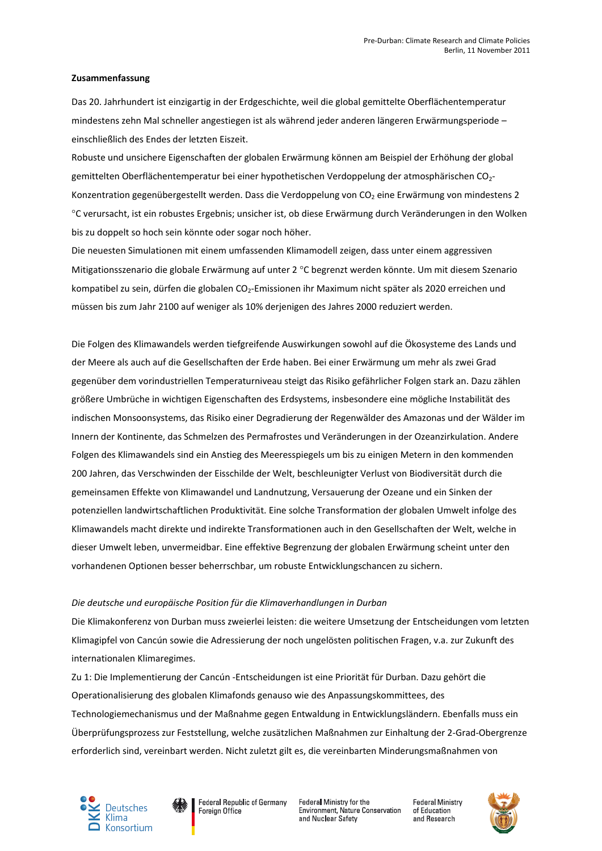### **Zusammenfassung**

Das 20. Jahrhundert ist einzigartig in der Erdgeschichte, weil die global gemittelte Oberflächentemperatur mindestens zehn Mal schneller angestiegen ist als während jeder anderen längeren Erwärmungsperiode – einschließlich des Endes der letzten Eiszeit.

Robuste und unsichere Eigenschaften der globalen Erwärmung können am Beispiel der Erhöhung der global gemittelten Oberflächentemperatur bei einer hypothetischen Verdoppelung der atmosphärischen CO<sub>2</sub>-Konzentration gegenübergestellt werden. Dass die Verdoppelung von CO<sub>2</sub> eine Erwärmung von mindestens 2 C verursacht, ist ein robustes Ergebnis; unsicher ist, ob diese Erwärmung durch Veränderungen in den Wolken bis zu doppelt so hoch sein könnte oder sogar noch höher.

Die neuesten Simulationen mit einem umfassenden Klimamodell zeigen, dass unter einem aggressiven Mitigationsszenario die globale Erwärmung auf unter 2 °C begrenzt werden könnte. Um mit diesem Szenario kompatibel zu sein, dürfen die globalen CO<sub>2</sub>-Emissionen ihr Maximum nicht später als 2020 erreichen und müssen bis zum Jahr 2100 auf weniger als 10% derjenigen des Jahres 2000 reduziert werden.

Die Folgen des Klimawandels werden tiefgreifende Auswirkungen sowohl auf die Ökosysteme des Lands und der Meere als auch auf die Gesellschaften der Erde haben. Bei einer Erwärmung um mehr als zwei Grad gegenüber dem vorindustriellen Temperaturniveau steigt das Risiko gefährlicher Folgen stark an. Dazu zählen größere Umbrüche in wichtigen Eigenschaften des Erdsystems, insbesondere eine mögliche Instabilität des indischen Monsoonsystems, das Risiko einer Degradierung der Regenwälder des Amazonas und der Wälder im Innern der Kontinente, das Schmelzen des Permafrostes und Veränderungen in der Ozeanzirkulation. Andere Folgen des Klimawandels sind ein Anstieg des Meeresspiegels um bis zu einigen Metern in den kommenden 200 Jahren, das Verschwinden der Eisschilde der Welt, beschleunigter Verlust von Biodiversität durch die gemeinsamen Effekte von Klimawandel und Landnutzung, Versauerung der Ozeane und ein Sinken der potenziellen landwirtschaftlichen Produktivität. Eine solche Transformation der globalen Umwelt infolge des Klimawandels macht direkte und indirekte Transformationen auch in den Gesellschaften der Welt, welche in dieser Umwelt leben, unvermeidbar. Eine effektive Begrenzung der globalen Erwärmung scheint unter den vorhandenen Optionen besser beherrschbar, um robuste Entwicklungschancen zu sichern.

# *Die deutsche und europäische Position für die Klimaverhandlungen in Durban*

Die Klimakonferenz von Durban muss zweierlei leisten: die weitere Umsetzung der Entscheidungen vom letzten Klimagipfel von Cancún sowie die Adressierung der noch ungelösten politischen Fragen, v.a. zur Zukunft des internationalen Klimaregimes.

Zu 1: Die Implementierung der Cancún -Entscheidungen ist eine Priorität für Durban. Dazu gehört die Operationalisierung des globalen Klimafonds genauso wie des Anpassungskommittees, des Technologiemechanismus und der Maßnahme gegen Entwaldung in Entwicklungsländern. Ebenfalls muss ein Überprüfungsprozess zur Feststellung, welche zusätzlichen Maßnahmen zur Einhaltung der 2-Grad-Obergrenze erforderlich sind, vereinbart werden. Nicht zuletzt gilt es, die vereinbarten Minderungsmaßnahmen von





Federal Republic of Germany Foreign Office

Federal Ministry for the Environment, Nature Conservation and Nuclear Safety